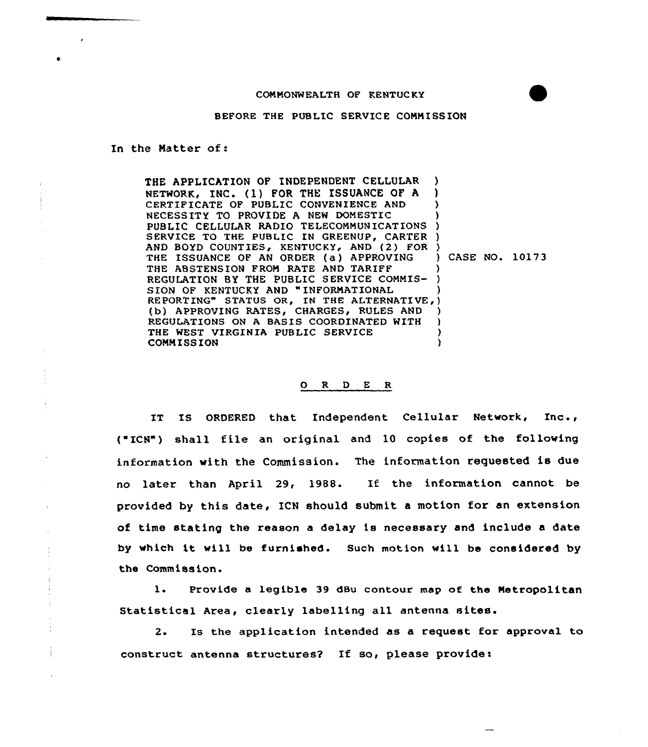## COMMONWEALTH OF KENTUC KY

BEFORE THE PUBLIC SERVICE COMMISSION

In the Natter of:

THE APPLICATION OF INDEPENDENT CELLULAR NETWORK, INC. (1) FOR THE ISSUANCE OF <sup>A</sup> CERTIFICATE OF PUBLIC CONVENIENCE AND NECESSITY TO PROVIDE A NEW DOMESTIC PUBLIC CELLULAR RADIO TELECOMMUNICATION SERVICE TO THE PUBLIC IN GREENUP, CARTER ) AND BOYD COUNTIES, KENTUCKY, AND (2) FOR ) THE ISSUANCE OF AN ORDER (a) APPROVING THE ABSTENSION FROM RATE AND TARIFF REGULATION BY THE PUBLIC SERVICE COMMIS-SION OF KENTUCKY AND "INFORMATIONAL REPORTING" STATUS OR, IN THE ALTERNATIVE (b) APPROVING RATES, CHARGES, RULES AND REGULATIONS ON <sup>A</sup> BASIS COORDINATED WITH THE WEST VIRGINIA PUBLIC SERVICE COMMISSION ) ) ) ) ) CASE NO. 10173 ) ) ) <sup>~</sup> ) ) ) )  $\lambda$ 

## 0 R <sup>D</sup> E R

IT IS ORDERED that Independent Cellular Network, Inc., ("ICN") shall file an original and 10 copies of the followin information vith the Commission. The information requested is due no later than April 29, 1988. If the information cannot be provided by this date, ICN should submit <sup>a</sup> motion for an extension of time stating the reason a delay is necessary and include a date by which it vill be furnished. Such motion vill be considered by the Commission.

1. Provide a legible 39 dBu contour map of the Metropolitan Statistical Area, clearly labelling all antenna sites.

2. Is the application intended as a request for approval to construct antenna structures? If so, please provide: